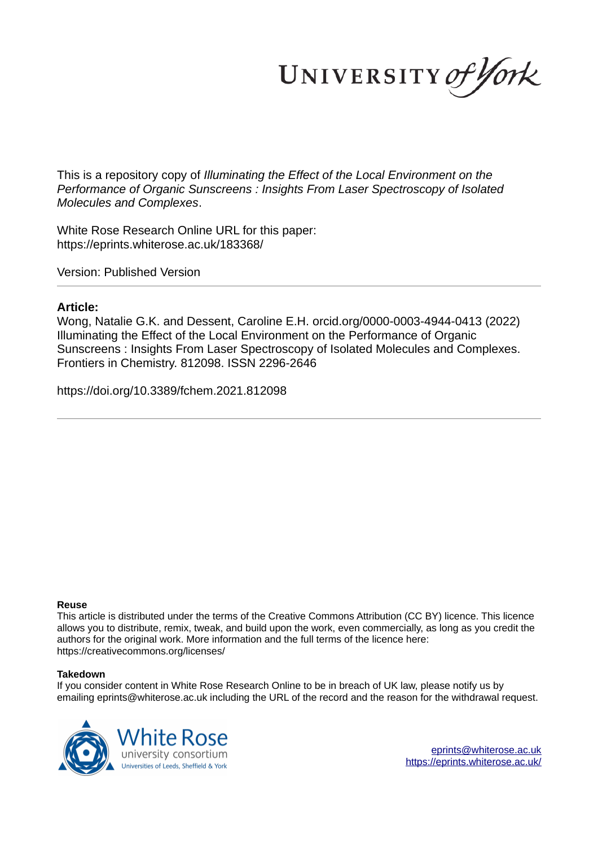UNIVERSITY of York

This is a repository copy of *Illuminating the Effect of the Local Environment on the Performance of Organic Sunscreens : Insights From Laser Spectroscopy of Isolated Molecules and Complexes*.

White Rose Research Online URL for this paper: https://eprints.whiterose.ac.uk/183368/

Version: Published Version

### **Article:**

Wong, Natalie G.K. and Dessent, Caroline E.H. orcid.org/0000-0003-4944-0413 (2022) Illuminating the Effect of the Local Environment on the Performance of Organic Sunscreens : Insights From Laser Spectroscopy of Isolated Molecules and Complexes. Frontiers in Chemistry. 812098. ISSN 2296-2646

https://doi.org/10.3389/fchem.2021.812098

### **Reuse**

This article is distributed under the terms of the Creative Commons Attribution (CC BY) licence. This licence allows you to distribute, remix, tweak, and build upon the work, even commercially, as long as you credit the authors for the original work. More information and the full terms of the licence here: https://creativecommons.org/licenses/

### **Takedown**

If you consider content in White Rose Research Online to be in breach of UK law, please notify us by emailing eprints@whiterose.ac.uk including the URL of the record and the reason for the withdrawal request.

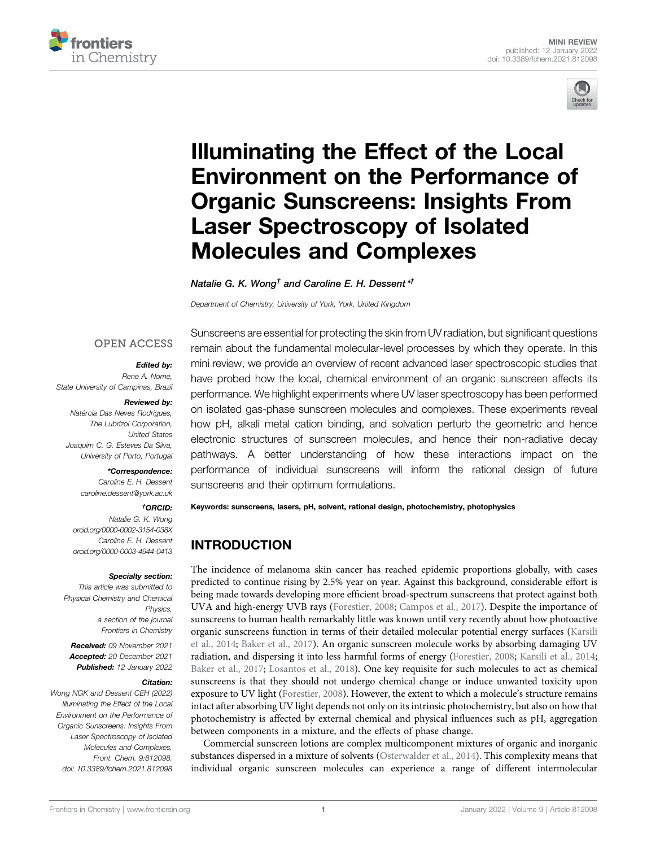



# Illuminating the Effect of the Local Environment on the Performance of Organic Sunscreens: Insights From Laser Spectroscopy of Isolated Molecules and Complexes

Natalie G. K. Wong $^\dagger$  and Caroline E. H. Dessent  $^{\star\dagger}$ 

Department of Chemistry, University of York, York, United Kingdom

## **OPEN ACCESS**

### Edited by:

Rene A. Nome, State University of Campinas, Brazil

#### Reviewed by:

Natércia Das Neves Rodrigues, The Lubrizol Corporation, United States Joaquim C. G. Esteves Da Silva, University of Porto, Portugal

#### \*Correspondence:

Caroline E. H. Dessent caroline.dessent@york.ac.uk

### †ORCID:

Natalie G. K. Wong orcid.org/0000-0002-3154-038X Caroline E. H. Dessent orcid.org/0000-0003-4944-0413

#### Specialty section:

This article was submitted to Physical Chemistry and Chemical Physics, a section of the journal Frontiers in Chemistry

Received: 09 November 2021 Accepted: 20 December 2021 Published: 12 January 2022

#### Citation:

Wong NGK and Dessent CEH (2022) Illuminating the Effect of the Local Environment on the Performance of Organic Sunscreens: Insights From Laser Spectroscopy of Isolated Molecules and Complexes. Front. Chem. 9:812098. doi: 10.3389/fchem.2021.812098

Sunscreens are essential for protecting the skin from UV radiation, but significant questions remain about the fundamental molecular-level processes by which they operate. In this mini review, we provide an overview of recent advanced laser spectroscopic studies that have probed how the local, chemical environment of an organic sunscreen affects its performance. We highlight experiments where UV laser spectroscopy has been performed on isolated gas-phase sunscreen molecules and complexes. These experiments reveal how pH, alkali metal cation binding, and solvation perturb the geometric and hence electronic structures of sunscreen molecules, and hence their non-radiative decay pathways. A better understanding of how these interactions impact on the performance of individual sunscreens will inform the rational design of future sunscreens and their optimum formulations.

Keywords: sunscreens, lasers, pH, solvent, rational design, photochemistry, photophysics

# INTRODUCTION

The incidence of melanoma skin cancer has reached epidemic proportions globally, with cases predicted to continue rising by 2.5% year on year. Against this background, considerable effort is being made towards developing more efficient broad-spectrum sunscreens that protect against both UVA and high-energy UVB rays (Forestier, 2008; Campos et al., 2017). Despite the importance of sunscreens to human health remarkably little was known until very recently about how photoactive organic sunscreens function in terms of their detailed molecular potential energy surfaces (Karsili et al., 2014; Baker et al., 2017). An organic sunscreen molecule works by absorbing damaging UV radiation, and dispersing it into less harmful forms of energy (Forestier, 2008; Karsili et al., 2014; Baker et al., 2017; Losantos et al., 2018). One key requisite for such molecules to act as chemical sunscreens is that they should not undergo chemical change or induce unwanted toxicity upon exposure to UV light (Forestier, 2008). However, the extent to which a molecule's structure remains intact after absorbing UV light depends not only on its intrinsic photochemistry, but also on how that photochemistry is affected by external chemical and physical influences such as pH, aggregation between components in a mixture, and the effects of phase change.

Commercial sunscreen lotions are complex multicomponent mixtures of organic and inorganic substances dispersed in a mixture of solvents (Osterwalder et al., 2014). This complexity means that individual organic sunscreen molecules can experience a range of different intermolecular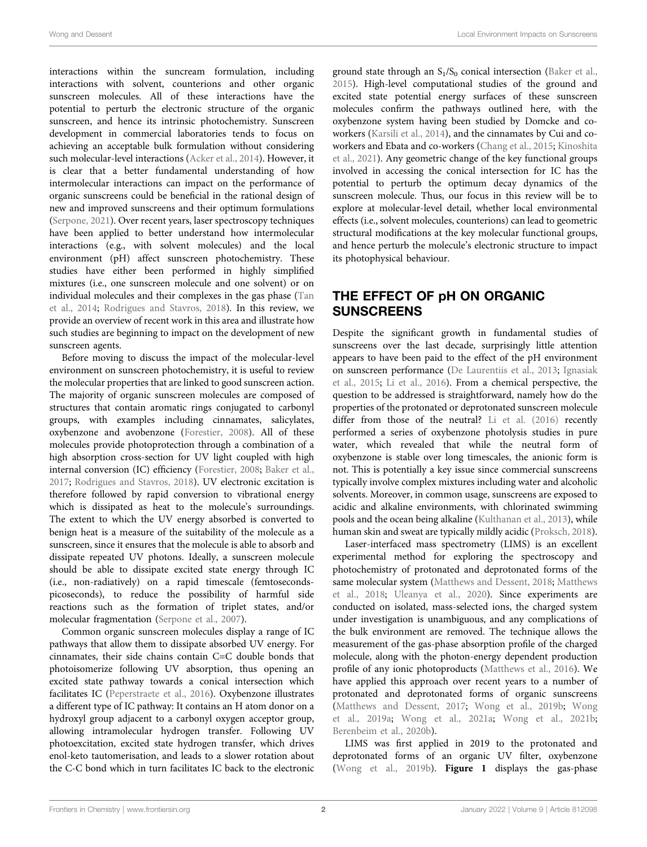interactions within the suncream formulation, including interactions with solvent, counterions and other organic sunscreen molecules. All of these interactions have the potential to perturb the electronic structure of the organic sunscreen, and hence its intrinsic photochemistry. Sunscreen development in commercial laboratories tends to focus on achieving an acceptable bulk formulation without considering such molecular-level interactions (Acker et al., 2014). However, it is clear that a better fundamental understanding of how intermolecular interactions can impact on the performance of organic sunscreens could be beneficial in the rational design of new and improved sunscreens and their optimum formulations (Serpone, 2021). Over recent years, laser spectroscopy techniques have been applied to better understand how intermolecular interactions (e.g., with solvent molecules) and the local environment (pH) affect sunscreen photochemistry. These studies have either been performed in highly simplified mixtures (i.e., one sunscreen molecule and one solvent) or on individual molecules and their complexes in the gas phase (Tan et al., 2014; Rodrigues and Stavros, 2018). In this review, we provide an overview of recent work in this area and illustrate how such studies are beginning to impact on the development of new sunscreen agents.

Before moving to discuss the impact of the molecular-level environment on sunscreen photochemistry, it is useful to review the molecular properties that are linked to good sunscreen action. The majority of organic sunscreen molecules are composed of structures that contain aromatic rings conjugated to carbonyl groups, with examples including cinnamates, salicylates, oxybenzone and avobenzone (Forestier, 2008). All of these molecules provide photoprotection through a combination of a high absorption cross-section for UV light coupled with high internal conversion (IC) efficiency (Forestier, 2008; Baker et al., 2017; Rodrigues and Stavros, 2018). UV electronic excitation is therefore followed by rapid conversion to vibrational energy which is dissipated as heat to the molecule's surroundings. The extent to which the UV energy absorbed is converted to benign heat is a measure of the suitability of the molecule as a sunscreen, since it ensures that the molecule is able to absorb and dissipate repeated UV photons. Ideally, a sunscreen molecule should be able to dissipate excited state energy through IC (i.e., non-radiatively) on a rapid timescale (femtosecondspicoseconds), to reduce the possibility of harmful side reactions such as the formation of triplet states, and/or molecular fragmentation (Serpone et al., 2007).

Common organic sunscreen molecules display a range of IC pathways that allow them to dissipate absorbed UV energy. For cinnamates, their side chains contain C=C double bonds that photoisomerize following UV absorption, thus opening an excited state pathway towards a conical intersection which facilitates IC (Peperstraete et al., 2016). Oxybenzone illustrates a different type of IC pathway: It contains an H atom donor on a hydroxyl group adjacent to a carbonyl oxygen acceptor group, allowing intramolecular hydrogen transfer. Following UV photoexcitation, excited state hydrogen transfer, which drives enol-keto tautomerisation, and leads to a slower rotation about the C-C bond which in turn facilitates IC back to the electronic

ground state through an  $S_1/S_0$  conical intersection (Baker et al., 2015). High-level computational studies of the ground and excited state potential energy surfaces of these sunscreen molecules confirm the pathways outlined here, with the oxybenzone system having been studied by Domcke and coworkers (Karsili et al., 2014), and the cinnamates by Cui and coworkers and Ebata and co-workers (Chang et al., 2015; Kinoshita et al., 2021). Any geometric change of the key functional groups involved in accessing the conical intersection for IC has the potential to perturb the optimum decay dynamics of the sunscreen molecule. Thus, our focus in this review will be to explore at molecular-level detail, whether local environmental effects (i.e., solvent molecules, counterions) can lead to geometric structural modifications at the key molecular functional groups, and hence perturb the molecule's electronic structure to impact its photophysical behaviour.

# THE EFFECT OF pH ON ORGANIC **SUNSCREENS**

Despite the significant growth in fundamental studies of sunscreens over the last decade, surprisingly little attention appears to have been paid to the effect of the pH environment on sunscreen performance (De Laurentiis et al., 2013; Ignasiak et al., 2015; Li et al., 2016). From a chemical perspective, the question to be addressed is straightforward, namely how do the properties of the protonated or deprotonated sunscreen molecule differ from those of the neutral? Li et al. (2016) recently performed a series of oxybenzone photolysis studies in pure water, which revealed that while the neutral form of oxybenzone is stable over long timescales, the anionic form is not. This is potentially a key issue since commercial sunscreens typically involve complex mixtures including water and alcoholic solvents. Moreover, in common usage, sunscreens are exposed to acidic and alkaline environments, with chlorinated swimming pools and the ocean being alkaline (Kulthanan et al., 2013), while human skin and sweat are typically mildly acidic (Proksch, 2018).

Laser-interfaced mass spectrometry (LIMS) is an excellent experimental method for exploring the spectroscopy and photochemistry of protonated and deprotonated forms of the same molecular system (Matthews and Dessent, 2018; Matthews et al., 2018; Uleanya et al., 2020). Since experiments are conducted on isolated, mass-selected ions, the charged system under investigation is unambiguous, and any complications of the bulk environment are removed. The technique allows the measurement of the gas-phase absorption profile of the charged molecule, along with the photon-energy dependent production profile of any ionic photoproducts (Matthews et al., 2016). We have applied this approach over recent years to a number of protonated and deprotonated forms of organic sunscreens (Matthews and Dessent, 2017; Wong et al., 2019b; Wong et al., 2019a; Wong et al., 2021a; Wong et al., 2021b; Berenbeim et al., 2020b).

LIMS was first applied in 2019 to the protonated and deprotonated forms of an organic UV filter, oxybenzone (Wong et al., 2019b). Figure 1 displays the gas-phase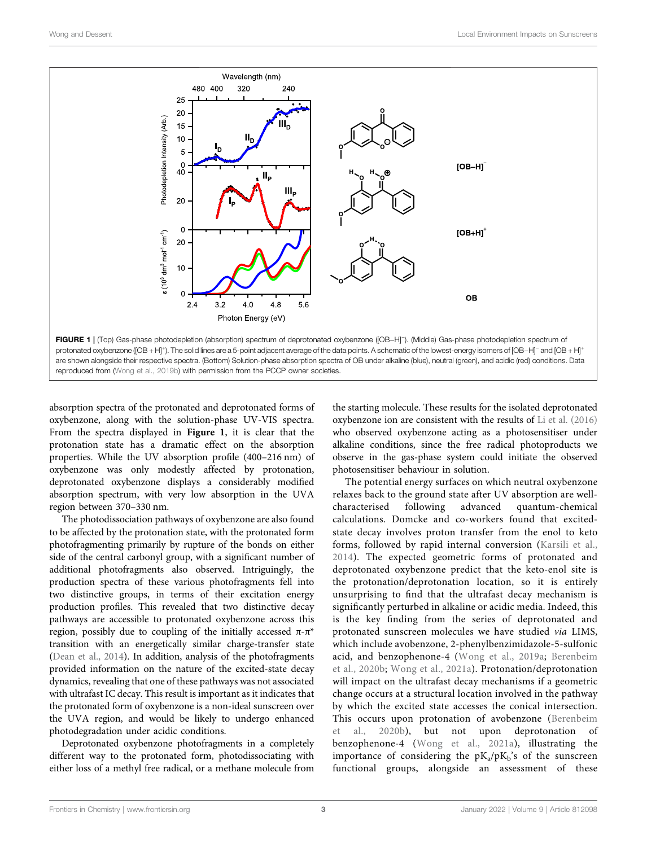

absorption spectra of the protonated and deprotonated forms of oxybenzone, along with the solution-phase UV-VIS spectra. From the spectra displayed in Figure 1, it is clear that the protonation state has a dramatic effect on the absorption properties. While the UV absorption profile (400–216 nm) of oxybenzone was only modestly affected by protonation, deprotonated oxybenzone displays a considerably modified absorption spectrum, with very low absorption in the UVA region between 370–330 nm.

The photodissociation pathways of oxybenzone are also found to be affected by the protonation state, with the protonated form photofragmenting primarily by rupture of the bonds on either side of the central carbonyl group, with a significant number of additional photofragments also observed. Intriguingly, the production spectra of these various photofragments fell into two distinctive groups, in terms of their excitation energy production profiles. This revealed that two distinctive decay pathways are accessible to protonated oxybenzone across this region, possibly due to coupling of the initially accessed  $π$ -π<sup>\*</sup> transition with an energetically similar charge-transfer state (Dean et al., 2014). In addition, analysis of the photofragments provided information on the nature of the excited-state decay dynamics, revealing that one of these pathways was not associated with ultrafast IC decay. This result is important as it indicates that the protonated form of oxybenzone is a non-ideal sunscreen over the UVA region, and would be likely to undergo enhanced photodegradation under acidic conditions.

Deprotonated oxybenzone photofragments in a completely different way to the protonated form, photodissociating with either loss of a methyl free radical, or a methane molecule from the starting molecule. These results for the isolated deprotonated oxybenzone ion are consistent with the results of Li et al. (2016) who observed oxybenzone acting as a photosensitiser under alkaline conditions, since the free radical photoproducts we observe in the gas-phase system could initiate the observed photosensitiser behaviour in solution.

The potential energy surfaces on which neutral oxybenzone relaxes back to the ground state after UV absorption are wellcharacterised following advanced quantum-chemical calculations. Domcke and co-workers found that excitedstate decay involves proton transfer from the enol to keto forms, followed by rapid internal conversion (Karsili et al., 2014). The expected geometric forms of protonated and deprotonated oxybenzone predict that the keto-enol site is the protonation/deprotonation location, so it is entirely unsurprising to find that the ultrafast decay mechanism is significantly perturbed in alkaline or acidic media. Indeed, this is the key finding from the series of deprotonated and protonated sunscreen molecules we have studied via LIMS, which include avobenzone, 2-phenylbenzimidazole-5-sulfonic acid, and benzophenone-4 (Wong et al., 2019a; Berenbeim et al., 2020b; Wong et al., 2021a). Protonation/deprotonation will impact on the ultrafast decay mechanisms if a geometric change occurs at a structural location involved in the pathway by which the excited state accesses the conical intersection. This occurs upon protonation of avobenzone (Berenbeim et al., 2020b), but not upon deprotonation of benzophenone-4 (Wong et al., 2021a), illustrating the importance of considering the  $pK_a/pK_b$ 's of the sunscreen functional groups, alongside an assessment of these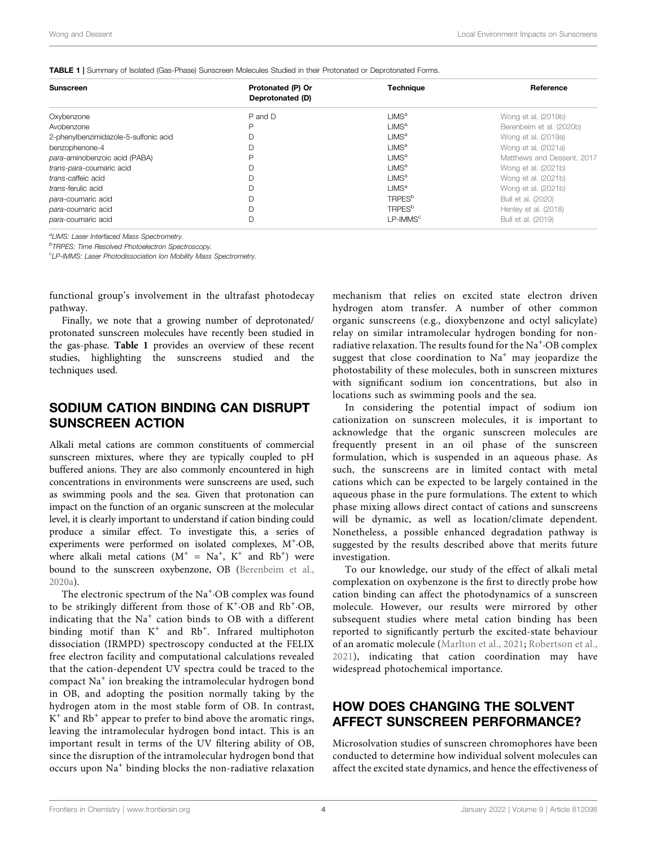TABLE 1 | Summary of Isolated (Gas-Phase) Sunscreen Molecules Studied in their Protonated or Deprotonated Forms.

| <b>Sunscreen</b>                      | Protonated (P) Or | <b>Technique</b>          | Reference                  |
|---------------------------------------|-------------------|---------------------------|----------------------------|
|                                       | Deprotonated (D)  |                           |                            |
| Oxybenzone                            | P and D           | LIMS <sup>a</sup>         | Wong et al. (2019b)        |
| Avobenzone                            | D                 | LIMS <sup>a</sup>         | Berenbeim et al. (2020b)   |
| 2-phenylbenzimidazole-5-sulfonic acid |                   | LIMS <sup>a</sup>         | Wong et al. (2019a)        |
| benzophenone-4                        |                   | LIMS <sup>a</sup>         | Wong et al. (2021a)        |
| para-aminobenzoic acid (PABA)         | D                 | LMS <sup>a</sup>          | Matthews and Dessent, 2017 |
| trans-para-coumaric acid              | D                 | LIMS <sup>a</sup>         | Wong et al. (2021b)        |
| trans-caffeic acid                    |                   | LMS <sup>a</sup>          | Wong et al. (2021b)        |
| trans-ferulic acid                    |                   | LMS <sup>a</sup>          | Wong et al. (2021b)        |
| para-coumaric acid                    | D                 | <b>TRPES</b> <sup>b</sup> | Bull et al. (2020)         |
| para-coumaric acid                    |                   | <b>TRPES</b> <sup>b</sup> | Henley et al. (2018)       |
| para-coumaric acid                    | D                 | $LP$ -IMMS <sup>c</sup>   | Bull et al. (2019)         |

<sup>a</sup>LIMS: Laser Interfaced Mass Spectrometry.

**<sup>b</sup>TRPES: Time Resolved Photoelectron Spectroscopy.** 

<sup>c</sup>LP-IMMS: Laser Photodissociation Ion Mobility Mass Spectrometry.

functional group's involvement in the ultrafast photodecay pathway.

Finally, we note that a growing number of deprotonated/ protonated sunscreen molecules have recently been studied in the gas-phase. Table 1 provides an overview of these recent studies, highlighting the sunscreens studied and the techniques used.

# SODIUM CATION BINDING CAN DISRUPT SUNSCREEN ACTION

Alkali metal cations are common constituents of commercial sunscreen mixtures, where they are typically coupled to pH buffered anions. They are also commonly encountered in high concentrations in environments were sunscreens are used, such as swimming pools and the sea. Given that protonation can impact on the function of an organic sunscreen at the molecular level, it is clearly important to understand if cation binding could produce a similar effect. To investigate this, a series of experiments were performed on isolated complexes, M<sup>+</sup>·OB, where alkali metal cations  $(M^+ = Na^+, K^+$  and  $Rb^+)$  were bound to the sunscreen oxybenzone, OB (Berenbeim et al., 2020a).

The electronic spectrum of the Na<sup>+</sup>·OB complex was found to be strikingly different from those of K<sup>+</sup>·OB and Rb<sup>+</sup>·OB, indicating that the Na<sup>+</sup> cation binds to OB with a different binding motif than K<sup>+</sup> and Rb<sup>+</sup>. Infrared multiphoton dissociation (IRMPD) spectroscopy conducted at the FELIX free electron facility and computational calculations revealed that the cation-dependent UV spectra could be traced to the compact Na<sup>+</sup> ion breaking the intramolecular hydrogen bond in OB, and adopting the position normally taking by the hydrogen atom in the most stable form of OB. In contrast, K<sup>+</sup> and Rb<sup>+</sup> appear to prefer to bind above the aromatic rings, leaving the intramolecular hydrogen bond intact. This is an important result in terms of the UV filtering ability of OB, since the disruption of the intramolecular hydrogen bond that occurs upon Na<sup>+</sup> binding blocks the non-radiative relaxation

mechanism that relies on excited state electron driven hydrogen atom transfer. A number of other common organic sunscreens (e.g., dioxybenzone and octyl salicylate) relay on similar intramolecular hydrogen bonding for nonradiative relaxation. The results found for the Na<sup>+</sup>·OB complex suggest that close coordination to  $Na<sup>+</sup>$  may jeopardize the photostability of these molecules, both in sunscreen mixtures with significant sodium ion concentrations, but also in locations such as swimming pools and the sea.

In considering the potential impact of sodium ion cationization on sunscreen molecules, it is important to acknowledge that the organic sunscreen molecules are frequently present in an oil phase of the sunscreen formulation, which is suspended in an aqueous phase. As such, the sunscreens are in limited contact with metal cations which can be expected to be largely contained in the aqueous phase in the pure formulations. The extent to which phase mixing allows direct contact of cations and sunscreens will be dynamic, as well as location/climate dependent. Nonetheless, a possible enhanced degradation pathway is suggested by the results described above that merits future investigation.

To our knowledge, our study of the effect of alkali metal complexation on oxybenzone is the first to directly probe how cation binding can affect the photodynamics of a sunscreen molecule. However, our results were mirrored by other subsequent studies where metal cation binding has been reported to significantly perturb the excited-state behaviour of an aromatic molecule (Marlton et al., 2021; Robertson et al., 2021), indicating that cation coordination may have widespread photochemical importance.

# HOW DOES CHANGING THE SOLVENT AFFECT SUNSCREEN PERFORMANCE?

Microsolvation studies of sunscreen chromophores have been conducted to determine how individual solvent molecules can affect the excited state dynamics, and hence the effectiveness of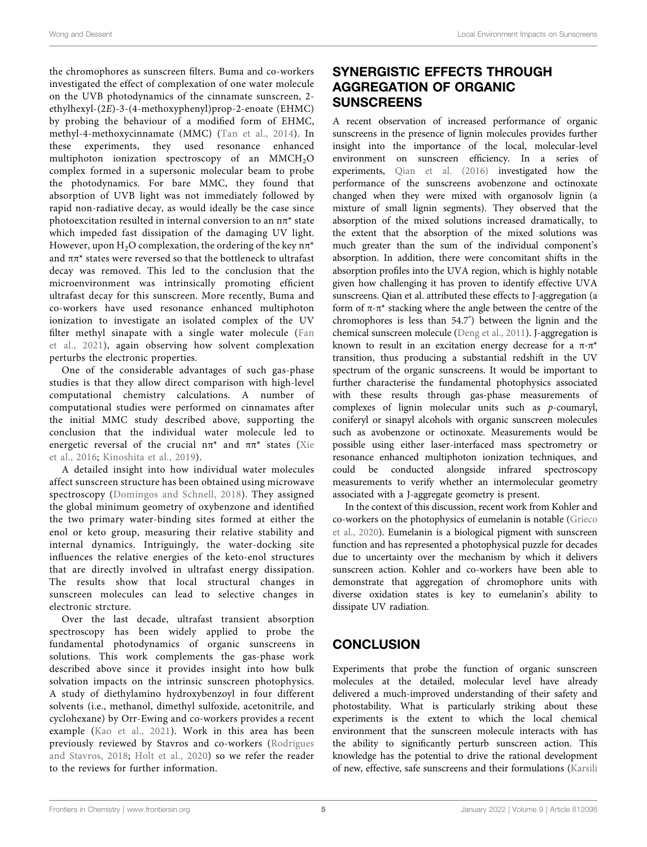the chromophores as sunscreen filters. Buma and co-workers investigated the effect of complexation of one water molecule on the UVB photodynamics of the cinnamate sunscreen, 2 ethylhexyl-(2E)-3-(4-methoxyphenyl)prop-2-enoate (EHMC) by probing the behaviour of a modified form of EHMC, methyl-4-methoxycinnamate (MMC) (Tan et al., 2014). In these experiments, they used resonance enhanced multiphoton ionization spectroscopy of an  $M MCH<sub>2</sub>O$ complex formed in a supersonic molecular beam to probe the photodynamics. For bare MMC, they found that absorption of UVB light was not immediately followed by rapid non-radiative decay, as would ideally be the case since photoexcitation resulted in internal conversion to an  $n\pi^*$  state which impeded fast dissipation of the damaging UV light. However, upon H<sub>2</sub>O complexation, the ordering of the key  $n\pi^*$ and  $\pi\pi^*$  states were reversed so that the bottleneck to ultrafast decay was removed. This led to the conclusion that the microenvironment was intrinsically promoting efficient ultrafast decay for this sunscreen. More recently, Buma and co-workers have used resonance enhanced multiphoton ionization to investigate an isolated complex of the UV filter methyl sinapate with a single water molecule (Fan et al., 2021), again observing how solvent complexation perturbs the electronic properties.

One of the considerable advantages of such gas-phase studies is that they allow direct comparison with high-level computational chemistry calculations. A number of computational studies were performed on cinnamates after the initial MMC study described above, supporting the conclusion that the individual water molecule led to energetic reversal of the crucial  $n\pi^*$  and  $\pi^*$  states (Xie et al., 2016; Kinoshita et al., 2019).

A detailed insight into how individual water molecules affect sunscreen structure has been obtained using microwave spectroscopy (Domingos and Schnell, 2018). They assigned the global minimum geometry of oxybenzone and identified the two primary water-binding sites formed at either the enol or keto group, measuring their relative stability and internal dynamics. Intriguingly, the water-docking site influences the relative energies of the keto-enol structures that are directly involved in ultrafast energy dissipation. The results show that local structural changes in sunscreen molecules can lead to selective changes in electronic strcture.

Over the last decade, ultrafast transient absorption spectroscopy has been widely applied to probe the fundamental photodynamics of organic sunscreens in solutions. This work complements the gas-phase work described above since it provides insight into how bulk solvation impacts on the intrinsic sunscreen photophysics. A study of diethylamino hydroxybenzoyl in four different solvents (i.e., methanol, dimethyl sulfoxide, acetonitrile, and cyclohexane) by Orr-Ewing and co-workers provides a recent example (Kao et al., 2021). Work in this area has been previously reviewed by Stavros and co-workers (Rodrigues and Stavros, 2018; Holt et al., 2020) so we refer the reader to the reviews for further information.

# SYNERGISTIC EFFECTS THROUGH AGGREGATION OF ORGANIC **SUNSCREENS**

A recent observation of increased performance of organic sunscreens in the presence of lignin molecules provides further insight into the importance of the local, molecular-level environment on sunscreen efficiency. In a series of experiments, Qian et al. (2016) investigated how the performance of the sunscreens avobenzone and octinoxate changed when they were mixed with organosolv lignin (a mixture of small lignin segments). They observed that the absorption of the mixed solutions increased dramatically, to the extent that the absorption of the mixed solutions was much greater than the sum of the individual component's absorption. In addition, there were concomitant shifts in the absorption profiles into the UVA region, which is highly notable given how challenging it has proven to identify effective UVA sunscreens. Qian et al. attributed these effects to J-aggregation (a form of π-π\* stacking where the angle between the centre of the chromophores is less than 54.7°) between the lignin and the chemical sunscreen molecule (Deng et al., 2011). J-aggregation is known to result in an excitation energy decrease for a  $\pi$ - $\pi$ <sup>\*</sup> transition, thus producing a substantial redshift in the UV spectrum of the organic sunscreens. It would be important to further characterise the fundamental photophysics associated with these results through gas-phase measurements of complexes of lignin molecular units such as p-coumaryl, coniferyl or sinapyl alcohols with organic sunscreen molecules such as avobenzone or octinoxate. Measurements would be possible using either laser-interfaced mass spectrometry or resonance enhanced multiphoton ionization techniques, and could be conducted alongside infrared spectroscopy measurements to verify whether an intermolecular geometry associated with a J-aggregate geometry is present.

In the context of this discussion, recent work from Kohler and co-workers on the photophysics of eumelanin is notable (Grieco et al., 2020). Eumelanin is a biological pigment with sunscreen function and has represented a photophysical puzzle for decades due to uncertainty over the mechanism by which it delivers sunscreen action. Kohler and co-workers have been able to demonstrate that aggregation of chromophore units with diverse oxidation states is key to eumelanin's ability to dissipate UV radiation.

# **CONCLUSION**

Experiments that probe the function of organic sunscreen molecules at the detailed, molecular level have already delivered a much-improved understanding of their safety and photostability. What is particularly striking about these experiments is the extent to which the local chemical environment that the sunscreen molecule interacts with has the ability to significantly perturb sunscreen action. This knowledge has the potential to drive the rational development of new, effective, safe sunscreens and their formulations (Karsili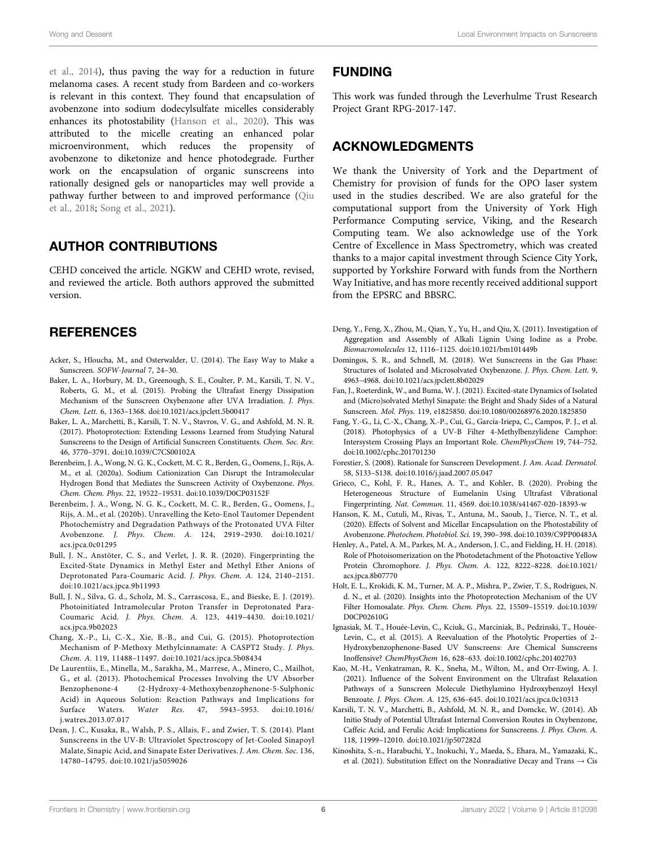et al., 2014), thus paving the way for a reduction in future melanoma cases. A recent study from Bardeen and co-workers is relevant in this context. They found that encapsulation of avobenzone into sodium dodecylsulfate micelles considerably enhances its photostability (Hanson et al., 2020). This was attributed to the micelle creating an enhanced polar microenvironment, which reduces the propensity of avobenzone to diketonize and hence photodegrade. Further work on the encapsulation of organic sunscreens into rationally designed gels or nanoparticles may well provide a pathway further between to and improved performance (Qiu et al., 2018; Song et al., 2021).

# AUTHOR CONTRIBUTIONS

CEHD conceived the article. NGKW and CEHD wrote, revised, and reviewed the article. Both authors approved the submitted version.

## **REFERENCES**

- Acker, S., Hloucha, M., and Osterwalder, U. (2014). The Easy Way to Make a Sunscreen. SOFW-Journal 7, 24–30.
- Baker, L. A., Horbury, M. D., Greenough, S. E., Coulter, P. M., Karsili, T. N. V., Roberts, G. M., et al. (2015). Probing the Ultrafast Energy Dissipation Mechanism of the Sunscreen Oxybenzone after UVA Irradiation. J. Phys. Chem. Lett. 6, 1363–1368. doi:10.1021/acs.jpclett.5b00417
- Baker, L. A., Marchetti, B., Karsili, T. N. V., Stavros, V. G., and Ashfold, M. N. R. (2017). Photoprotection: Extending Lessons Learned from Studying Natural Sunscreens to the Design of Artificial Sunscreen Constituents. Chem. Soc. Rev. 46, 3770–3791. doi:10.1039/C7CS00102A
- Berenbeim, J. A., Wong, N. G. K., Cockett, M. C. R., Berden, G., Oomens, J., Rijs, A. M., et al. (2020a). Sodium Cationization Can Disrupt the Intramolecular Hydrogen Bond that Mediates the Sunscreen Activity of Oxybenzone. Phys. Chem. Chem. Phys. 22, 19522–19531. doi:10.1039/D0CP03152F
- Berenbeim, J. A., Wong, N. G. K., Cockett, M. C. R., Berden, G., Oomens, J., Rijs, A. M., et al. (2020b). Unravelling the Keto-Enol Tautomer Dependent Photochemistry and Degradation Pathways of the Protonated UVA Filter Avobenzone. J. Phys. Chem. A. 124, 2919–2930. doi:10.1021/ acs.jpca.0c01295
- Bull, J. N., Anstöter, C. S., and Verlet, J. R. R. (2020). Fingerprinting the Excited-State Dynamics in Methyl Ester and Methyl Ether Anions of Deprotonated Para-Coumaric Acid. J. Phys. Chem. A. 124, 2140–2151. doi:10.1021/acs.jpca.9b11993
- Bull, J. N., Silva, G. d., Scholz, M. S., Carrascosa, E., and Bieske, E. J. (2019). Photoinitiated Intramolecular Proton Transfer in Deprotonated Para-Coumaric Acid. J. Phys. Chem. A. 123, 4419–4430. doi:10.1021/ acs.jpca.9b02023
- Chang, X.-P., Li, C.-X., Xie, B.-B., and Cui, G. (2015). Photoprotection Mechanism of P-Methoxy Methylcinnamate: A CASPT2 Study. J. Phys. Chem. A. 119, 11488–11497. doi:10.1021/acs.jpca.5b08434
- De Laurentiis, E., Minella, M., Sarakha, M., Marrese, A., Minero, C., Mailhot, G., et al. (2013). Photochemical Processes Involving the UV Absorber Benzophenone-4 (2-Hydroxy-4-Methoxybenzophenone-5-Sulphonic Acid) in Aqueous Solution: Reaction Pathways and Implications for Surface Waters. Water Res. 47, 5943–5953. doi:10.1016/ j.watres.2013.07.017
- Dean, J. C., Kusaka, R., Walsh, P. S., Allais, F., and Zwier, T. S. (2014). Plant Sunscreens in the UV-B: Ultraviolet Spectroscopy of Jet-Cooled Sinapoyl Malate, Sinapic Acid, and Sinapate Ester Derivatives. J. Am. Chem. Soc. 136, 14780–14795. doi:10.1021/ja5059026

### FUNDING

This work was funded through the Leverhulme Trust Research Project Grant RPG-2017-147.

## ACKNOWLEDGMENTS

We thank the University of York and the Department of Chemistry for provision of funds for the OPO laser system used in the studies described. We are also grateful for the computational support from the University of York High Performance Computing service, Viking, and the Research Computing team. We also acknowledge use of the York Centre of Excellence in Mass Spectrometry, which was created thanks to a major capital investment through Science City York, supported by Yorkshire Forward with funds from the Northern Way Initiative, and has more recently received additional support from the EPSRC and BBSRC.

- Deng, Y., Feng, X., Zhou, M., Qian, Y., Yu, H., and Qiu, X. (2011). Investigation of Aggregation and Assembly of Alkali Lignin Using Iodine as a Probe. Biomacromolecules 12, 1116–1125. doi:10.1021/bm101449b
- Domingos, S. R., and Schnell, M. (2018). Wet Sunscreens in the Gas Phase: Structures of Isolated and Microsolvated Oxybenzone. J. Phys. Chem. Lett. 9, 4963–4968. doi:10.1021/acs.jpclett.8b02029
- Fan, J., Roeterdink, W., and Buma, W. J. (2021). Excited-state Dynamics of Isolated and (Micro)solvated Methyl Sinapate: the Bright and Shady Sides of a Natural Sunscreen. Mol. Phys. 119, e1825850. doi:10.1080/00268976.2020.1825850
- Fang, Y.-G., Li, C.-X., Chang, X.-P., Cui, G., García-Iriepa, C., Campos, P. J., et al. (2018). Photophysics of a UV-B Filter 4-Methylbenzylidene Camphor: Intersystem Crossing Plays an Important Role. ChemPhysChem 19, 744–752. doi:10.1002/cphc.201701230
- Forestier, S. (2008). Rationale for Sunscreen Development. J. Am. Acad. Dermatol. 58, S133–S138. doi:10.1016/j.jaad.2007.05.047
- Grieco, C., Kohl, F. R., Hanes, A. T., and Kohler, B. (2020). Probing the Heterogeneous Structure of Eumelanin Using Ultrafast Vibrational Fingerprinting. Nat. Commun. 11, 4569. doi:10.1038/s41467-020-18393-w
- Hanson, K. M., Cutuli, M., Rivas, T., Antuna, M., Saoub, J., Tierce, N. T., et al. (2020). Effects of Solvent and Micellar Encapsulation on the Photostability of Avobenzone. Photochem. Photobiol. Sci. 19, 390–398. doi:10.1039/C9PP00483A
- Henley, A., Patel, A. M., Parkes, M. A., Anderson, J. C., and Fielding, H. H. (2018). Role of Photoisomerization on the Photodetachment of the Photoactive Yellow Protein Chromophore. J. Phys. Chem. A. 122, 8222–8228. doi:10.1021/ acs.jpca.8b07770
- Holt, E. L., Krokidi, K. M., Turner, M. A. P., Mishra, P., Zwier, T. S., Rodrigues, N. d. N., et al. (2020). Insights into the Photoprotection Mechanism of the UV Filter Homosalate. Phys. Chem. Chem. Phys. 22, 15509–15519. doi:10.1039/ D0CP02610G
- Ignasiak, M. T., Houée-Levin, C., Kciuk, G., Marciniak, B., Pedzinski, T., Houée-Levin, C., et al. (2015). A Reevaluation of the Photolytic Properties of 2- Hydroxybenzophenone-Based UV Sunscreens: Are Chemical Sunscreens Inoffensive? ChemPhysChem 16, 628–633. doi:10.1002/cphc.201402703
- Kao, M.-H., Venkatraman, R. K., Sneha, M., Wilton, M., and Orr-Ewing, A. J. (2021). Influence of the Solvent Environment on the Ultrafast Relaxation Pathways of a Sunscreen Molecule Diethylamino Hydroxybenzoyl Hexyl Benzoate. J. Phys. Chem. A. 125, 636–645. doi:10.1021/acs.jpca.0c10313
- Karsili, T. N. V., Marchetti, B., Ashfold, M. N. R., and Domcke, W. (2014). Ab Initio Study of Potential Ultrafast Internal Conversion Routes in Oxybenzone, Caffeic Acid, and Ferulic Acid: Implications for Sunscreens. J. Phys. Chem. A. 118, 11999–12010. doi:10.1021/jp507282d
- Kinoshita, S.-n., Harabuchi, Y., Inokuchi, Y., Maeda, S., Ehara, M., Yamazaki, K., et al. (2021). Substitution Effect on the Nonradiative Decay and Trans  $\rightarrow$  Cis